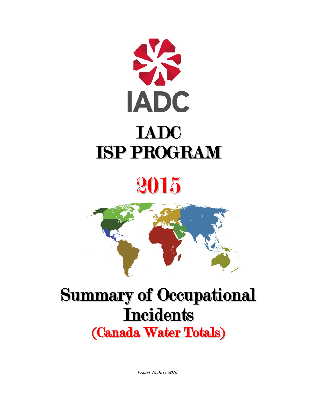

# 2015



# Summary of Occupational **Incidents** (Canada Water Totals)

Issued 15 July 2016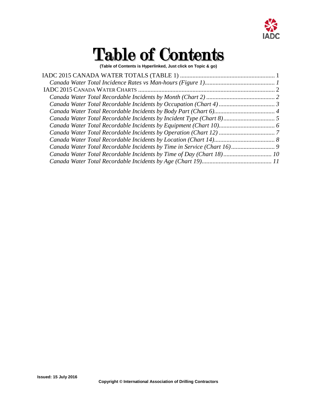

# Table of Contents

**(Table of Contents is Hyperlinked, Just click on Topic & go)**

| Canada Water Total Recordable Incidents by Time of Day (Chart 18) 10 |  |
|----------------------------------------------------------------------|--|
|                                                                      |  |
|                                                                      |  |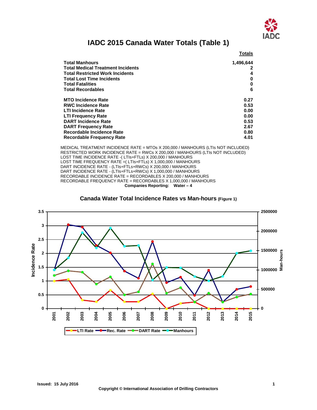

### **IADC 2015 Canada Water Totals (Table 1)**

<span id="page-2-0"></span>

|                                          | <b>Totals</b> |
|------------------------------------------|---------------|
| <b>Total Manhours</b>                    | 1,496,644     |
| <b>Total Medical Treatment Incidents</b> |               |
| <b>Total Restricted Work Incidents</b>   | 4             |
| <b>Total Lost Time Incidents</b>         | 0             |
| <b>Total Fatalities</b>                  | 0             |
| <b>Total Recordables</b>                 | 6             |
| <b>MTO Incidence Rate</b>                | 0.27          |
| <b>RWC Incidence Rate</b>                | 0.53          |
| <b>LTI Incidence Rate</b>                | 0.00          |
| <b>LTI Frequency Rate</b>                | 0.00          |
| <b>DART Incidence Rate</b>               | 0.53          |
| <b>DART Frequency Rate</b>               | 2.67          |
| Recordable Incidence Rate                | 0.80          |
| <b>Recordable Frequency Rate</b>         | 4.01          |

MEDICAL TREATMENT INCIDENCE RATE = MTOs X 200,000 / MANHOURS (LTIs NOT INCLUDED) RESTRICTED WORK INCIDENCE RATE = RWCs X 200,000 / MANHOURS (LTIs NOT INCLUDED) LOST TIME INCIDENCE RATE -( LTIs+FTLs) X 200,000 / MANHOURS LOST TIME FREQUENCY RATE = (LTIs+FTLS) X 1,000,000 / MANHOURS DART INCIDENCE RATE - (LTIs+FTLs+RWCs) X 200,000 / MANHOURS DART INCIDENCE RATE - (LTIs+FTLs+RWCs) X 1,000,000 / MANHOURS RECORDABLE INCIDENCE RATE = RECORDABLES X 200,000 / MANHOURS RECORDABLE FREQUENCY RATE = RECORDABLES X 1,000,000 / MANHOURS **Companies Reporting: Water – 4**



<span id="page-2-1"></span>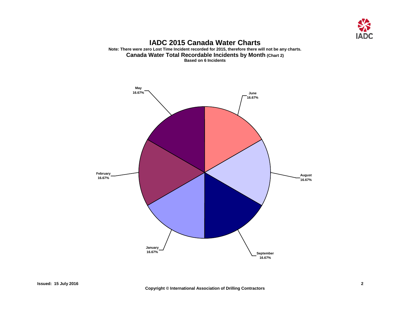

#### **IADC 2015 Canada Water Charts Note: There were zero Lost Time Incident recorded for 2015, therefore there will not be any charts. Canada Water Total Recordable Incidents by Month (Chart 2) Based on 6 Incidents**

<span id="page-3-1"></span><span id="page-3-0"></span>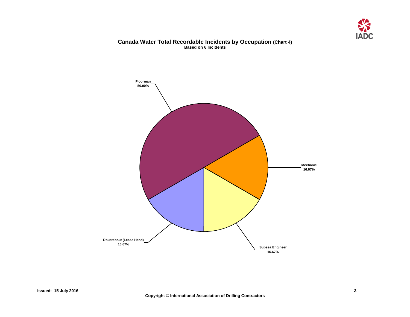

#### **Canada Water Total Recordable Incidents by Occupation (Chart 4) Based on 6 Incidents**

<span id="page-4-0"></span>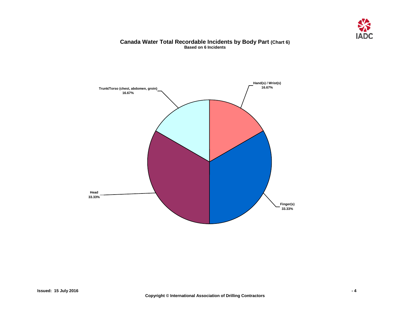

#### **Canada Water Total Recordable Incidents by Body Part (Chart 6) Based on 6 Incidents**

<span id="page-5-0"></span>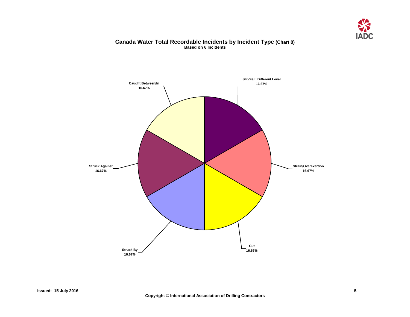

#### **Canada Water Total Recordable Incidents by Incident Type (Chart 8) Based on 6 Incidents**

<span id="page-6-0"></span>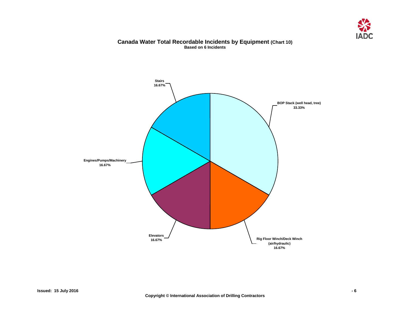

#### **Canada Water Total Recordable Incidents by Equipment (Chart 10) Based on 6 Incidents**

<span id="page-7-0"></span>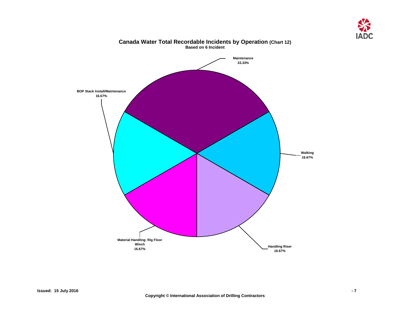

<span id="page-8-0"></span>

### **Canada Water Total Recordable Incidents by Operation (Chart 12) Based on 6 Incident**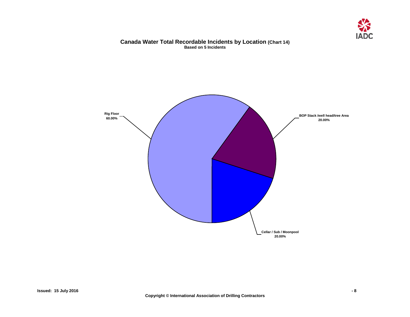

#### **Canada Water Total Recordable Incidents by Location (Chart 14) Based on 5 Incidents**

<span id="page-9-0"></span>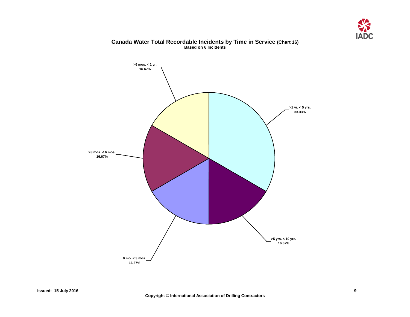

<span id="page-10-0"></span>

#### **Canada Water Total Recordable Incidents by Time in Service (Chart 16) Based on 6 Incidents**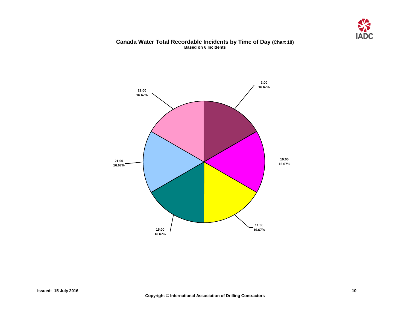

#### **Canada Water Total Recordable Incidents by Time of Day (Chart 18) Based on 6 Incidents**

<span id="page-11-0"></span>